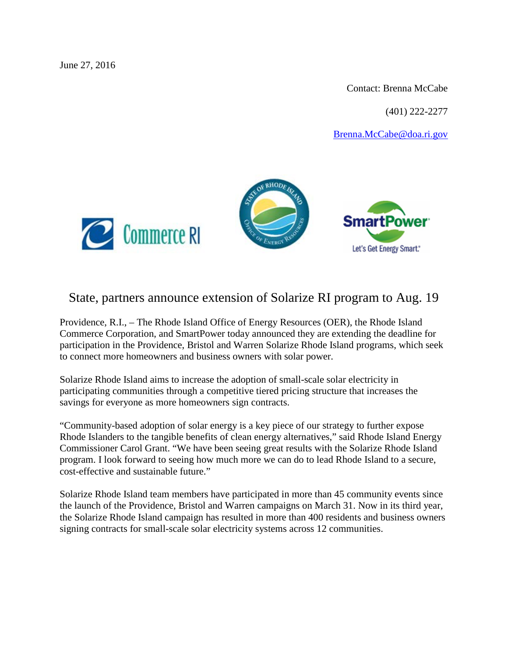June 27, 2016

Contact: Brenna McCabe

(401) 222-2277

[Brenna.McCabe@doa.ri.gov](mailto:Brenna.McCabe@doa.ri.gov)





## State, partners announce extension of Solarize RI program to Aug. 19

Providence, R.I., – The Rhode Island Office of Energy Resources (OER), the Rhode Island Commerce Corporation, and SmartPower today announced they are extending the deadline for participation in the Providence, Bristol and Warren Solarize Rhode Island programs, which seek to connect more homeowners and business owners with solar power.

Solarize Rhode Island aims to increase the adoption of small-scale solar electricity in participating communities through a competitive tiered pricing structure that increases the savings for everyone as more homeowners sign contracts.

"Community-based adoption of solar energy is a key piece of our strategy to further expose Rhode Islanders to the tangible benefits of clean energy alternatives," said Rhode Island Energy Commissioner Carol Grant. "We have been seeing great results with the Solarize Rhode Island program. I look forward to seeing how much more we can do to lead Rhode Island to a secure, cost-effective and sustainable future."

Solarize Rhode Island team members have participated in more than 45 community events since the launch of the Providence, Bristol and Warren campaigns on March 31. Now in its third year, the Solarize Rhode Island campaign has resulted in more than 400 residents and business owners signing contracts for small-scale solar electricity systems across 12 communities.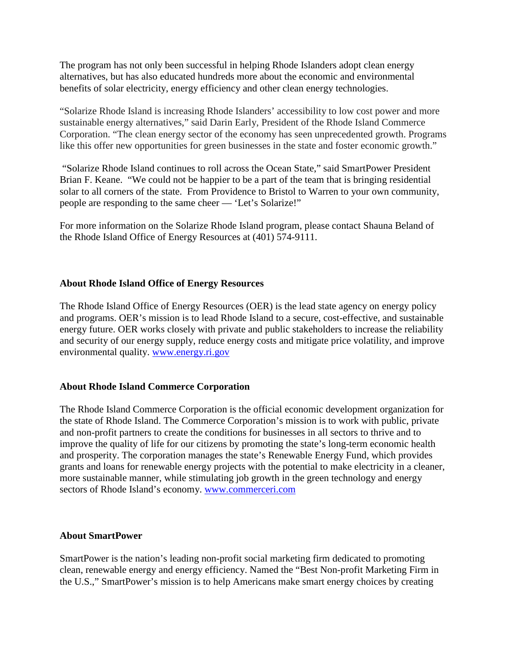The program has not only been successful in helping Rhode Islanders adopt clean energy alternatives, but has also educated hundreds more about the economic and environmental benefits of solar electricity, energy efficiency and other clean energy technologies.

"Solarize Rhode Island is increasing Rhode Islanders' accessibility to low cost power and more sustainable energy alternatives," said Darin Early, President of the Rhode Island Commerce Corporation. "The clean energy sector of the economy has seen unprecedented growth. Programs like this offer new opportunities for green businesses in the state and foster economic growth."

"Solarize Rhode Island continues to roll across the Ocean State," said SmartPower President Brian F. Keane. "We could not be happier to be a part of the team that is bringing residential solar to all corners of the state. From Providence to Bristol to Warren to your own community, people are responding to the same cheer — 'Let's Solarize!"

For more information on the Solarize Rhode Island program, please contact Shauna Beland of the Rhode Island Office of Energy Resources at (401) 574-9111.

## **About Rhode Island Office of Energy Resources**

The Rhode Island Office of Energy Resources (OER) is the lead state agency on energy policy and programs. OER's mission is to lead Rhode Island to a secure, cost-effective, and sustainable energy future. OER works closely with private and public stakeholders to increase the reliability and security of our energy supply, reduce energy costs and mitigate price volatility, and improve environmental quality. [www.energy.ri.gov](http://www.energy.ri.gov/)

## **About Rhode Island Commerce Corporation**

The Rhode Island Commerce Corporation is the official economic development organization for the state of Rhode Island. The Commerce Corporation's mission is to work with public, private and non-profit partners to create the conditions for businesses in all sectors to thrive and to improve the quality of life for our citizens by promoting the state's long-term economic health and prosperity. The corporation manages the state's Renewable Energy Fund, which provides grants and loans for renewable energy projects with the potential to make electricity in a cleaner, more sustainable manner, while stimulating job growth in the green technology and energy sectors of Rhode Island's economy. [www.commerceri.com](http://www.commerceri.com/)

## **About SmartPower**

SmartPower is the nation's leading non-profit social marketing firm dedicated to promoting clean, renewable energy and energy efficiency. Named the "Best Non-profit Marketing Firm in the U.S.," SmartPower's mission is to help Americans make smart energy choices by creating